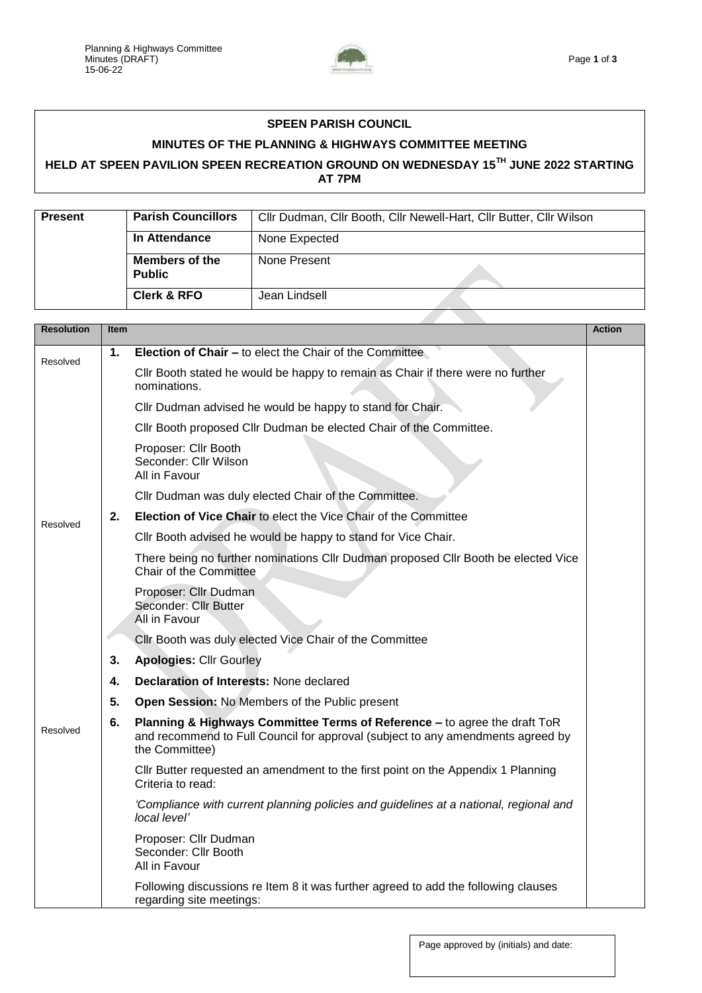

## **SPEEN PARISH COUNCIL**

## **MINUTES OF THE PLANNING & HIGHWAYS COMMITTEE MEETING**

## **HELD AT SPEEN PAVILION SPEEN RECREATION GROUND ON WEDNESDAY 15TH JUNE 2022 STARTING AT 7PM**

| <b>Present</b> | <b>Parish Councillors</b>              | Cllr Dudman, Cllr Booth, Cllr Newell-Hart, Cllr Butter, Cllr Wilson |  |
|----------------|----------------------------------------|---------------------------------------------------------------------|--|
|                | In Attendance                          | None Expected                                                       |  |
|                | <b>Members of the</b><br><b>Public</b> | None Present                                                        |  |
|                | <b>Clerk &amp; RFO</b>                 | Jean Lindsell                                                       |  |

| <b>Resolution</b> | <b>Item</b> |                                                                                                                                                                                | <b>Action</b> |
|-------------------|-------------|--------------------------------------------------------------------------------------------------------------------------------------------------------------------------------|---------------|
| Resolved          | 1.          | <b>Election of Chair - to elect the Chair of the Committee</b>                                                                                                                 |               |
|                   |             | Cllr Booth stated he would be happy to remain as Chair if there were no further<br>nominations.                                                                                |               |
|                   |             | Cllr Dudman advised he would be happy to stand for Chair.                                                                                                                      |               |
|                   |             | Cllr Booth proposed Cllr Dudman be elected Chair of the Committee.                                                                                                             |               |
|                   |             | Proposer: Cllr Booth<br>Seconder: Cllr Wilson<br>All in Favour                                                                                                                 |               |
|                   |             | Cllr Dudman was duly elected Chair of the Committee.                                                                                                                           |               |
| Resolved          | 2.          | Election of Vice Chair to elect the Vice Chair of the Committee                                                                                                                |               |
|                   |             | Cllr Booth advised he would be happy to stand for Vice Chair.                                                                                                                  |               |
|                   |             | There being no further nominations CIIr Dudman proposed CIIr Booth be elected Vice<br>Chair of the Committee                                                                   |               |
|                   |             | Proposer: Cllr Dudman<br>Seconder: Cllr Butter<br>All in Favour                                                                                                                |               |
|                   |             | Cllr Booth was duly elected Vice Chair of the Committee                                                                                                                        |               |
|                   | 3.          | <b>Apologies: Cllr Gourley</b>                                                                                                                                                 |               |
|                   | 4.          | <b>Declaration of Interests: None declared</b>                                                                                                                                 |               |
|                   | 5.          | Open Session: No Members of the Public present                                                                                                                                 |               |
| Resolved          | 6.          | Planning & Highways Committee Terms of Reference - to agree the draft ToR<br>and recommend to Full Council for approval (subject to any amendments agreed by<br>the Committee) |               |
|                   |             | Cllr Butter requested an amendment to the first point on the Appendix 1 Planning<br>Criteria to read:                                                                          |               |
|                   |             | 'Compliance with current planning policies and guidelines at a national, regional and<br>local level'                                                                          |               |
|                   |             | Proposer: Cllr Dudman<br>Seconder: Cllr Booth<br>All in Favour                                                                                                                 |               |
|                   |             | Following discussions re Item 8 it was further agreed to add the following clauses<br>regarding site meetings:                                                                 |               |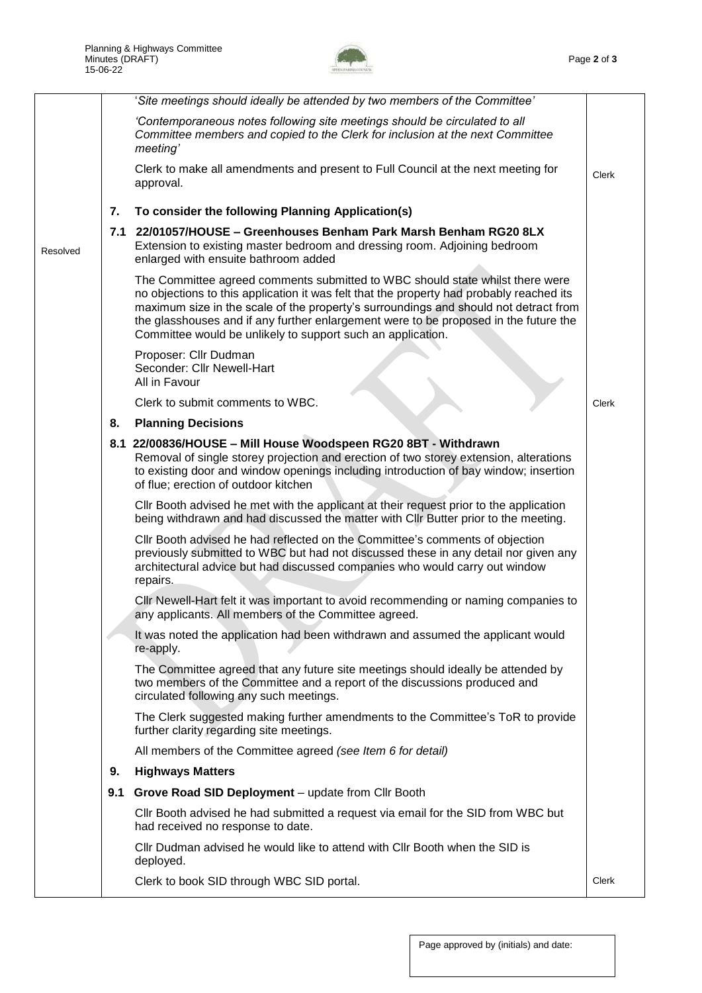

|          |     | 'Site meetings should ideally be attended by two members of the Committee'                                                                                                                                                                                                                                                                                                                                               |       |
|----------|-----|--------------------------------------------------------------------------------------------------------------------------------------------------------------------------------------------------------------------------------------------------------------------------------------------------------------------------------------------------------------------------------------------------------------------------|-------|
|          |     | 'Contemporaneous notes following site meetings should be circulated to all<br>Committee members and copied to the Clerk for inclusion at the next Committee<br>meeting'                                                                                                                                                                                                                                                  |       |
|          |     | Clerk to make all amendments and present to Full Council at the next meeting for<br>approval.                                                                                                                                                                                                                                                                                                                            | Clerk |
|          | 7.  | To consider the following Planning Application(s)                                                                                                                                                                                                                                                                                                                                                                        |       |
| Resolved |     | 7.1 22/01057/HOUSE – Greenhouses Benham Park Marsh Benham RG20 8LX<br>Extension to existing master bedroom and dressing room. Adjoining bedroom<br>enlarged with ensuite bathroom added                                                                                                                                                                                                                                  |       |
|          |     | The Committee agreed comments submitted to WBC should state whilst there were<br>no objections to this application it was felt that the property had probably reached its<br>maximum size in the scale of the property's surroundings and should not detract from<br>the glasshouses and if any further enlargement were to be proposed in the future the<br>Committee would be unlikely to support such an application. |       |
|          |     | Proposer: Cllr Dudman<br>Seconder: Cllr Newell-Hart<br>All in Favour                                                                                                                                                                                                                                                                                                                                                     |       |
|          |     | Clerk to submit comments to WBC.                                                                                                                                                                                                                                                                                                                                                                                         | Clerk |
|          | 8.  | <b>Planning Decisions</b>                                                                                                                                                                                                                                                                                                                                                                                                |       |
|          |     | 8.1 22/00836/HOUSE - Mill House Woodspeen RG20 8BT - Withdrawn<br>Removal of single storey projection and erection of two storey extension, alterations<br>to existing door and window openings including introduction of bay window; insertion<br>of flue; erection of outdoor kitchen                                                                                                                                  |       |
|          |     | CIIr Booth advised he met with the applicant at their request prior to the application<br>being withdrawn and had discussed the matter with CIIr Butter prior to the meeting.                                                                                                                                                                                                                                            |       |
|          |     | Cllr Booth advised he had reflected on the Committee's comments of objection<br>previously submitted to WBC but had not discussed these in any detail nor given any<br>architectural advice but had discussed companies who would carry out window<br>repairs.                                                                                                                                                           |       |
|          |     | CIIr Newell-Hart felt it was important to avoid recommending or naming companies to<br>any applicants. All members of the Committee agreed.                                                                                                                                                                                                                                                                              |       |
|          |     | It was noted the application had been withdrawn and assumed the applicant would<br>re-apply.                                                                                                                                                                                                                                                                                                                             |       |
|          |     | The Committee agreed that any future site meetings should ideally be attended by<br>two members of the Committee and a report of the discussions produced and<br>circulated following any such meetings.                                                                                                                                                                                                                 |       |
|          |     | The Clerk suggested making further amendments to the Committee's ToR to provide<br>further clarity regarding site meetings.                                                                                                                                                                                                                                                                                              |       |
|          |     | All members of the Committee agreed (see Item 6 for detail)                                                                                                                                                                                                                                                                                                                                                              |       |
|          | 9.  | <b>Highways Matters</b>                                                                                                                                                                                                                                                                                                                                                                                                  |       |
|          | 9.1 | Grove Road SID Deployment - update from Cllr Booth                                                                                                                                                                                                                                                                                                                                                                       |       |
|          |     | CIIr Booth advised he had submitted a request via email for the SID from WBC but<br>had received no response to date.                                                                                                                                                                                                                                                                                                    |       |
|          |     | CIIr Dudman advised he would like to attend with CIIr Booth when the SID is<br>deployed.                                                                                                                                                                                                                                                                                                                                 |       |
|          |     | Clerk to book SID through WBC SID portal.                                                                                                                                                                                                                                                                                                                                                                                | Clerk |